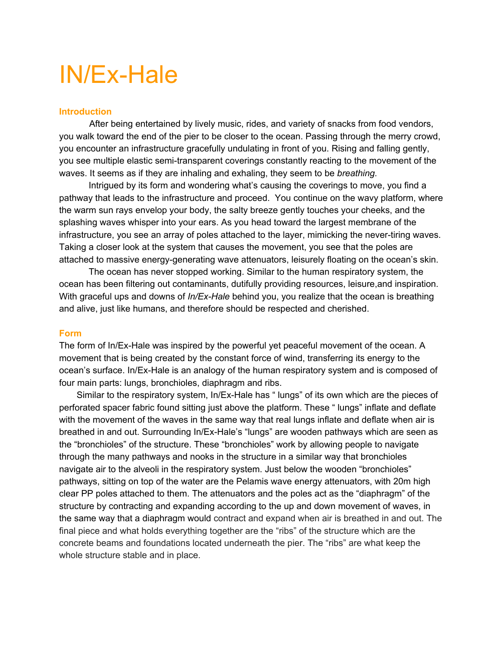# IN/Ex-Hale

## **Introduction**

 After being entertained by lively music, rides, and variety of snacks from food vendors, you walk toward the end of the pier to be closer to the ocean. Passing through the merry crowd, you encounter an infrastructure gracefully undulating in front of you. Rising and falling gently, you see multiple elastic semi-transparent coverings constantly reacting to the movement of the waves. It seems as if they are inhaling and exhaling, they seem to be *breathing.*

Intrigued by its form and wondering what's causing the coverings to move, you find a pathway that leads to the infrastructure and proceed. You continue on the wavy platform, where the warm sun rays envelop your body, the salty breeze gently touches your cheeks, and the splashing waves whisper into your ears. As you head toward the largest membrane of the infrastructure, you see an array of poles attached to the layer, mimicking the never-tiring waves. Taking a closer look at the system that causes the movement, you see that the poles are attached to massive energy-generating wave attenuators, leisurely floating on the ocean's skin.

The ocean has never stopped working. Similar to the human respiratory system, the ocean has been filtering out contaminants, dutifully providing resources, leisure,and inspiration. With graceful ups and downs of *In/Ex-Hale* behind you, you realize that the ocean is breathing and alive, just like humans, and therefore should be respected and cherished.

#### **Form**

The form of In/Ex-Hale was inspired by the powerful yet peaceful movement of the ocean. A movement that is being created by the constant force of wind, transferring its energy to the ocean's surface. In/Ex-Hale is an analogy of the human respiratory system and is composed of four main parts: lungs, bronchioles, diaphragm and ribs.

 Similar to the respiratory system, In/Ex-Hale has " lungs" of its own which are the pieces of perforated spacer fabric found sitting just above the platform. These " lungs" inflate and deflate with the movement of the waves in the same way that real lungs inflate and deflate when air is breathed in and out. Surrounding In/Ex-Hale's "lungs" are wooden pathways which are seen as the "bronchioles" of the structure. These "bronchioles" work by allowing people to navigate through the many pathways and nooks in the structure in a similar way that bronchioles navigate air to the alveoli in the respiratory system. Just below the wooden "bronchioles" pathways, sitting on top of the water are the Pelamis wave energy attenuators, with 20m high clear PP poles attached to them. The attenuators and the poles act as the "diaphragm" of the structure by contracting and expanding according to the up and down movement of waves, in the same way that a diaphragm would contract and expand when air is breathed in and out. The final piece and what holds everything together are the "ribs" of the structure which are the concrete beams and foundations located underneath the pier. The "ribs" are what keep the whole structure stable and in place.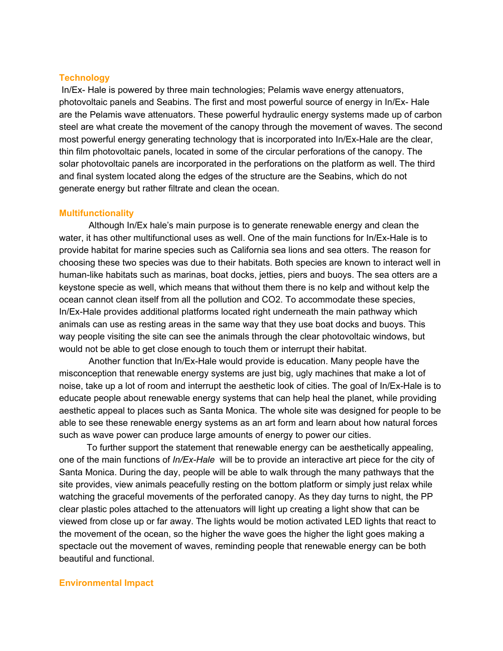#### **Technology**

In/Ex- Hale is powered by three main technologies; Pelamis wave energy attenuators, photovoltaic panels and Seabins. The first and most powerful source of energy in In/Ex- Hale are the Pelamis wave attenuators. These powerful hydraulic energy systems made up of carbon steel are what create the movement of the canopy through the movement of waves. The second most powerful energy generating technology that is incorporated into In/Ex-Hale are the clear, thin film photovoltaic panels, located in some of the circular perforations of the canopy. The solar photovoltaic panels are incorporated in the perforations on the platform as well. The third and final system located along the edges of the structure are the Seabins, which do not generate energy but rather filtrate and clean the ocean.

### **Multifunctionality**

Although In/Ex hale's main purpose is to generate renewable energy and clean the water, it has other multifunctional uses as well. One of the main functions for In/Ex-Hale is to provide habitat for marine species such as California sea lions and sea otters. The reason for choosing these two species was due to their habitats. Both species are known to interact well in human-like habitats such as marinas, boat docks, jetties, piers and buoys. The sea otters are a keystone specie as well, which means that without them there is no kelp and without kelp the ocean cannot clean itself from all the pollution and CO2. To accommodate these species, In/Ex-Hale provides additional platforms located right underneath the main pathway which animals can use as resting areas in the same way that they use boat docks and buoys. This way people visiting the site can see the animals through the clear photovoltaic windows, but would not be able to get close enough to touch them or interrupt their habitat.

Another function that In/Ex-Hale would provide is education. Many people have the misconception that renewable energy systems are just big, ugly machines that make a lot of noise, take up a lot of room and interrupt the aesthetic look of cities. The goal of In/Ex-Hale is to educate people about renewable energy systems that can help heal the planet, while providing aesthetic appeal to places such as Santa Monica. The whole site was designed for people to be able to see these renewable energy systems as an art form and learn about how natural forces such as wave power can produce large amounts of energy to power our cities.

 To further support the statement that renewable energy can be aesthetically appealing, one of the main functions of *In/Ex-Hale* will be to provide an interactive art piece for the city of Santa Monica. During the day, people will be able to walk through the many pathways that the site provides, view animals peacefully resting on the bottom platform or simply just relax while watching the graceful movements of the perforated canopy. As they day turns to night, the PP clear plastic poles attached to the attenuators will light up creating a light show that can be viewed from close up or far away. The lights would be motion activated LED lights that react to the movement of the ocean, so the higher the wave goes the higher the light goes making a spectacle out the movement of waves, reminding people that renewable energy can be both beautiful and functional.

#### **Environmental Impact**